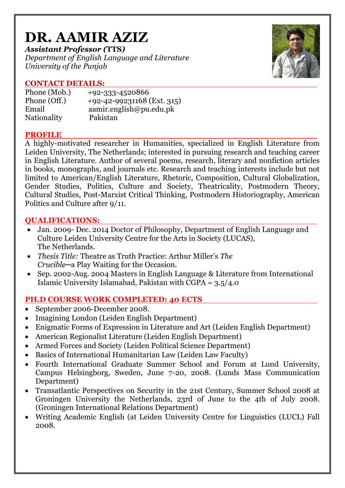# **DR. AAMIR AZIZ**

*Assistant Professor (***TTS***) Department of English Language and Literature University of the Punjab*



# **CONTACT DETAILS:**

| Phone (Mob.) | $+92 - 333 - 4520866$        |
|--------------|------------------------------|
| Phone (Off.) | $+92-42-99231168$ (Ext. 315) |
| Email        | aamir.english@pu.edu.pk      |
| Nationality  | Pakistan                     |

## **PROFILE**

A highly-motivated researcher in Humanities, specialized in English Literature from Leiden University, The Netherlands; interested in pursuing research and teaching career in English Literature. Author of several poems, research, literary and nonfiction articles in books, monographs, and journals etc. Research and teaching interests include but not limited to American/English Literature, Rhetoric, Composition, Cultural Globalization, Gender Studies, Politics, Culture and Society, Theatricality, Postmodern Theory, Cultural Studies, Post-Marxist Critical Thinking, Postmodern Historiography, American Politics and Culture after 9/11.

# **QUALIFICATIONS:**

- Jan. 2009- Dec. 2014 Doctor of Philosophy, Department of English Language and Culture Leiden University Centre for the Arts in Society (LUCAS), The Netherlands.
- *Thesis Title:* Theatre as Truth Practice: Arthur Miller's *The Crucible─*a Play Waiting for the Occasion.
- Sep. 2002-Aug. 2004 Masters in English Language & Literature from International Islamic University Islamabad, Pakistan with CGPA = 3.5/4.0

# **PH.D COURSE WORK COMPLETED: 40 ECTS**

- September 2006-December 2008.
- Imagining London (Leiden English Department)
- Enigmatic Forms of Expression in Literature and Art (Leiden English Department)
- American Regionalist Literature (Leiden English Department)
- Armed Forces and Society (Leiden Political Science Department)
- Basics of International Humanitarian Law (Leiden Law Faculty)
- Fourth International Graduate Summer School and Forum at Lund University, Campus Helsingborg, Sweden, June 7-20, 2008. (Lunds Mass Communication Department)
- Transatlantic Perspectives on Security in the 21st Century, Summer School 2008 at Groningen University the Netherlands, 23rd of June to the 4th of July 2008. (Groningen International Relations Department)
- Writing Academic English (at Leiden University Centre for Linguistics (LUCL) Fall 2008.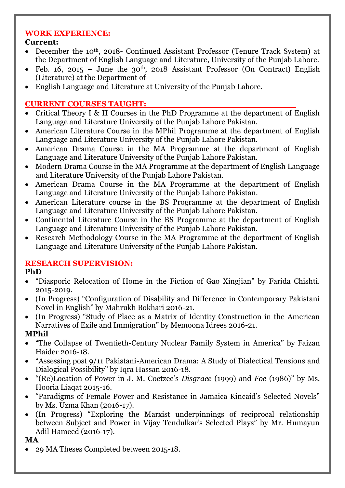# **WORK EXPERIENCE:**

# **Current:**

- December the 10<sup>th</sup>, 2018- Continued Assistant Professor (Tenure Track System) at the Department of English Language and Literature, University of the Punjab Lahore.
- Feb. 16, 2015 June the 30<sup>th</sup>, 2018 Assistant Professor (On Contract) English (Literature) at the Department of
- English Language and Literature at University of the Punjab Lahore.

# **CURRENT COURSES TAUGHT:**

- Critical Theory I & II Courses in the PhD Programme at the department of English Language and Literature University of the Punjab Lahore Pakistan.
- American Literature Course in the MPhil Programme at the department of English Language and Literature University of the Punjab Lahore Pakistan.
- American Drama Course in the MA Programme at the department of English Language and Literature University of the Punjab Lahore Pakistan.
- Modern Drama Course in the MA Programme at the department of English Language and Literature University of the Punjab Lahore Pakistan.
- American Drama Course in the MA Programme at the department of English Language and Literature University of the Punjab Lahore Pakistan.
- American Literature course in the BS Programme at the department of English Language and Literature University of the Punjab Lahore Pakistan.
- Continental Literature Course in the BS Programme at the department of English Language and Literature University of the Punjab Lahore Pakistan.
- Research Methodology Course in the MA Programme at the department of English Language and Literature University of the Punjab Lahore Pakistan.

# **RESEARCH SUPERVISION:**

# **PhD**

- "Diasporic Relocation of Home in the Fiction of Gao Xingjian" by Farida Chishti. 2015-2019.
- (In Progress) "Configuration of Disability and Difference in Contemporary Pakistani Novel in English" by Mahrukh Bokhari 2016-21.
- (In Progress) "Study of Place as a Matrix of Identity Construction in the American Narratives of Exile and Immigration" by Memoona Idrees 2016-21.

# **MPhil**

- "The Collapse of Twentieth-Century Nuclear Family System in America" by Faizan Haider 2016-18.
- "Assessing post 9/11 Pakistani-American Drama: A Study of Dialectical Tensions and Dialogical Possibility" by Iqra Hassan 2016-18.
- "(Re)Location of Power in J. M. Coetzee's *Disgrace* (1999) and *Foe* (1986)" by Ms. Hooria Liaqat 2015-16.
- "Paradigms of Female Power and Resistance in Jamaica Kincaid's Selected Novels" by Ms. Uzma Khan (2016-17).
- (In Progress) "Exploring the Marxist underpinnings of reciprocal relationship between Subject and Power in Vijay Tendulkar's Selected Plays" by Mr. Humayun Adil Hameed (2016-17).

**MA**

29 MA Theses Completed between 2015-18.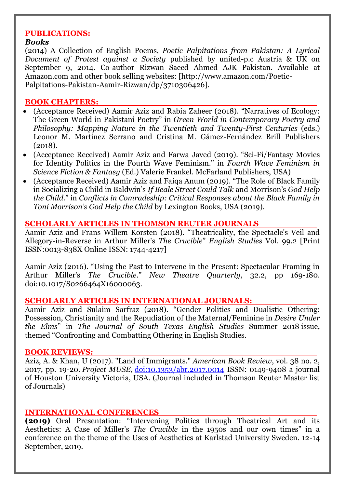#### **PUBLICATIONS:**

#### *Books*

(2014) A Collection of English Poems, *Poetic Palpitations from Pakistan: A Lyrical Document of Protest against a Society* published by united-p.c Austria & UK on September 9, 2014. Co-author Rizwan Saeed Ahmed AJK Pakistan. Available at Amazon.com and other book selling websites: [http://www.amazon.com/Poetic-Palpitations-Pakistan-Aamir-Rizwan/dp/3710306426].

#### **BOOK CHAPTERS:**

- (Acceptance Received) Aamir Aziz and Rabia Zaheer (2018). "Narratives of Ecology: The Green World in Pakistani Poetry" in *Green World in Contemporary Poetry and Philosophy: Mapping Nature in the Twentieth and Twenty-First Centuries* (eds.) Leonor M. Martínez Serrano and Cristina M. Gámez-Fernández Brill Publishers (2018).
- (Acceptance Received) Aamir Aziz and Farwa Javed (2019). "Sci-Fi/Fantasy Movies for Identity Politics in the Fourth Wave Feminism." in *Fourth Wave Feminism in Science Fiction & Fantasy* (Ed.) Valerie Frankel. McFarland Publishers, USA)
- (Acceptance Received) Aamir Aziz and Faiqa Anum (2019). "The Role of Black Family in Socializing a Child in Baldwin's *If Beale Street Could Talk* and Morrison's *God Help the Child.*" in *Conflicts in Comradeship: Critical Responses about the Black Family in Toni Morrison's God Help the Child* by Lexington Books, USA (2019).

#### **SCHOLARLY ARTICLES IN THOMSON REUTER JOURNALS**

Aamir Aziz and Frans Willem Korsten (2018). "Theatricality, the Spectacle's Veil and Allegory-in-Reverse in Arthur Miller's *The Crucible*" *English Studies* Vol. 99.2 [Print ISSN:0013-838X Online ISSN: 1744-4217]

Aamir Aziz (2016). "Using the Past to Intervene in the Present: Spectacular Framing in Arthur Miller's *The Crucible*." *New Theatre Quarterly*, 32.2, pp 169-180. doi:10.1017/S0266464X16000063.

#### **SCHOLARLY ARTICLES IN INTERNATIONAL JOURNALS:**

Aamir Aziz and Sulaim Sarfraz (2018). "Gender Politics and Dualistic Othering: Possession, Christianity and the Repudiation of the Maternal/Feminine in *Desire Under the Elms*" in *The Journal of South Texas English Studies* Summer 2018 issue, themed "Confronting and Combatting Othering in English Studies.

#### **BOOK REVIEWS:**

Aziz, A. & Khan, U (2017). "Land of Immigrants." *American Book Review*, vol. 38 no. 2, 2017, pp. 19-20. *Project MUSE*, [doi:10.1353/abr.2017.0014](http://doi.org/10.1353/abr.2017.0014) ISSN: 0149-9408 a journal of Houston University Victoria, USA. (Journal included in Thomson Reuter Master list of Journals)

#### **INTERNATIONAL CONFERENCES**

**(2019)** Oral Presentation: "Intervening Politics through Theatrical Art and its Aesthetics: A Case of Miller's *The Crucible* in the 1950s and our own times" in a conference on the theme of the Uses of Aesthetics at Karlstad University Sweden. 12-14 September, 2019.